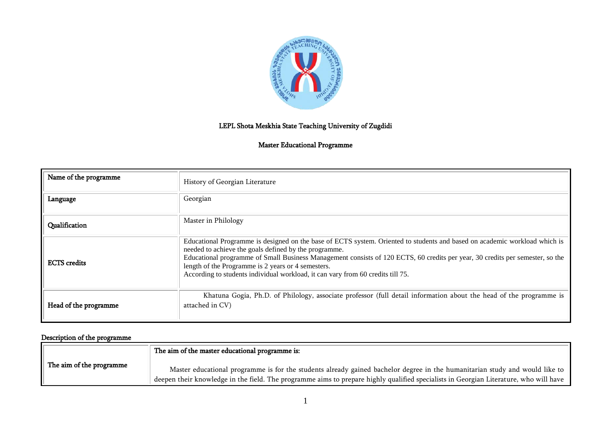

# LEPL Shota Meskhia State Teaching University of Zugdidi

### Master Educational Programme

| Name of the programme | History of Georgian Literature                                                                                                                                                                                                                                                                                                                                                                                                                                |
|-----------------------|---------------------------------------------------------------------------------------------------------------------------------------------------------------------------------------------------------------------------------------------------------------------------------------------------------------------------------------------------------------------------------------------------------------------------------------------------------------|
| Language              | Georgian                                                                                                                                                                                                                                                                                                                                                                                                                                                      |
| Qualification         | Master in Philology                                                                                                                                                                                                                                                                                                                                                                                                                                           |
| <b>ECTS</b> credits   | Educational Programme is designed on the base of ECTS system. Oriented to students and based on academic workload which is<br>needed to achieve the goals defined by the programme.<br>Educational programme of Small Business Management consists of 120 ECTS, 60 credits per year, 30 credits per semester, so the<br>length of the Programme is 2 years or 4 semesters.<br>According to students individual workload, it can vary from 60 credits till 75. |
| Head of the programme | Khatuna Gogia, Ph.D. of Philology, associate professor (full detail information about the head of the programme is<br>attached in CV)                                                                                                                                                                                                                                                                                                                         |

# Description of the programme

|                          | The aim of the master educational programme is:                                                                                                                                                                                                                      |
|--------------------------|----------------------------------------------------------------------------------------------------------------------------------------------------------------------------------------------------------------------------------------------------------------------|
| The aim of the programme | Master educational programme is for the students already gained bachelor degree in the humanitarian study and would like to<br>deepen their knowledge in the field. The programme aims to prepare highly qualified specialists in Georgian Literature, who will have |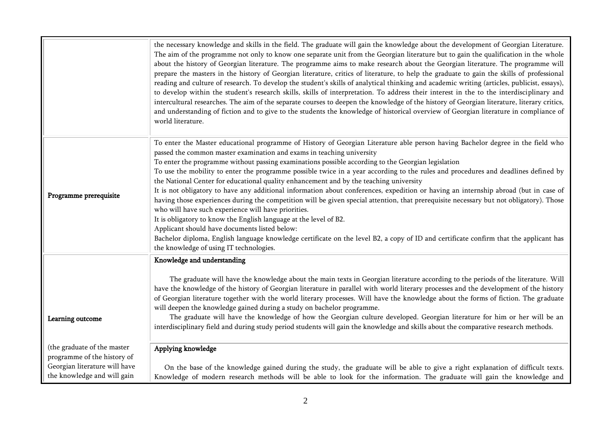|                               | the necessary knowledge and skills in the field. The graduate will gain the knowledge about the development of Georgian Literature.<br>The aim of the programme not only to know one separate unit from the Georgian literature but to gain the qualification in the whole<br>about the history of Georgian literature. The programme aims to make research about the Georgian literature. The programme will<br>prepare the masters in the history of Georgian literature, critics of literature, to help the graduate to gain the skills of professional<br>reading and culture of research. To develop the student's skills of analytical thinking and academic writing (articles, publicist, essays),<br>to develop within the student's research skills, skills of interpretation. To address their interest in the to the interdisciplinary and<br>intercultural researches. The aim of the separate courses to deepen the knowledge of the history of Georgian literature, literary critics,<br>and understanding of fiction and to give to the students the knowledge of historical overview of Georgian literature in compliance of<br>world literature. |
|-------------------------------|-------------------------------------------------------------------------------------------------------------------------------------------------------------------------------------------------------------------------------------------------------------------------------------------------------------------------------------------------------------------------------------------------------------------------------------------------------------------------------------------------------------------------------------------------------------------------------------------------------------------------------------------------------------------------------------------------------------------------------------------------------------------------------------------------------------------------------------------------------------------------------------------------------------------------------------------------------------------------------------------------------------------------------------------------------------------------------------------------------------------------------------------------------------------|
|                               |                                                                                                                                                                                                                                                                                                                                                                                                                                                                                                                                                                                                                                                                                                                                                                                                                                                                                                                                                                                                                                                                                                                                                                   |
|                               | To enter the Master educational programme of History of Georgian Literature able person having Bachelor degree in the field who                                                                                                                                                                                                                                                                                                                                                                                                                                                                                                                                                                                                                                                                                                                                                                                                                                                                                                                                                                                                                                   |
|                               | passed the common master examination and exams in teaching university                                                                                                                                                                                                                                                                                                                                                                                                                                                                                                                                                                                                                                                                                                                                                                                                                                                                                                                                                                                                                                                                                             |
|                               | To enter the programme without passing examinations possible according to the Georgian legislation<br>To use the mobility to enter the programme possible twice in a year according to the rules and procedures and deadlines defined by                                                                                                                                                                                                                                                                                                                                                                                                                                                                                                                                                                                                                                                                                                                                                                                                                                                                                                                          |
|                               | the National Center for educational quality enhancement and by the teaching university                                                                                                                                                                                                                                                                                                                                                                                                                                                                                                                                                                                                                                                                                                                                                                                                                                                                                                                                                                                                                                                                            |
|                               | It is not obligatory to have any additional information about conferences, expedition or having an internship abroad (but in case of                                                                                                                                                                                                                                                                                                                                                                                                                                                                                                                                                                                                                                                                                                                                                                                                                                                                                                                                                                                                                              |
| Programme prerequisite        | having those experiences during the competition will be given special attention, that prerequisite necessary but not obligatory). Those                                                                                                                                                                                                                                                                                                                                                                                                                                                                                                                                                                                                                                                                                                                                                                                                                                                                                                                                                                                                                           |
|                               | who will have such experience will have priorities.                                                                                                                                                                                                                                                                                                                                                                                                                                                                                                                                                                                                                                                                                                                                                                                                                                                                                                                                                                                                                                                                                                               |
|                               | It is obligatory to know the English language at the level of B2.                                                                                                                                                                                                                                                                                                                                                                                                                                                                                                                                                                                                                                                                                                                                                                                                                                                                                                                                                                                                                                                                                                 |
|                               | Applicant should have documents listed below:                                                                                                                                                                                                                                                                                                                                                                                                                                                                                                                                                                                                                                                                                                                                                                                                                                                                                                                                                                                                                                                                                                                     |
|                               | Bachelor diploma, English language knowledge certificate on the level B2, a copy of ID and certificate confirm that the applicant has                                                                                                                                                                                                                                                                                                                                                                                                                                                                                                                                                                                                                                                                                                                                                                                                                                                                                                                                                                                                                             |
|                               | the knowledge of using IT technologies.                                                                                                                                                                                                                                                                                                                                                                                                                                                                                                                                                                                                                                                                                                                                                                                                                                                                                                                                                                                                                                                                                                                           |
|                               | Knowledge and understanding                                                                                                                                                                                                                                                                                                                                                                                                                                                                                                                                                                                                                                                                                                                                                                                                                                                                                                                                                                                                                                                                                                                                       |
|                               | The graduate will have the knowledge about the main texts in Georgian literature according to the periods of the literature. Will                                                                                                                                                                                                                                                                                                                                                                                                                                                                                                                                                                                                                                                                                                                                                                                                                                                                                                                                                                                                                                 |
|                               | have the knowledge of the history of Georgian literature in parallel with world literary processes and the development of the history                                                                                                                                                                                                                                                                                                                                                                                                                                                                                                                                                                                                                                                                                                                                                                                                                                                                                                                                                                                                                             |
|                               | of Georgian literature together with the world literary processes. Will have the knowledge about the forms of fiction. The graduate                                                                                                                                                                                                                                                                                                                                                                                                                                                                                                                                                                                                                                                                                                                                                                                                                                                                                                                                                                                                                               |
|                               | will deepen the knowledge gained during a study on bachelor programme.                                                                                                                                                                                                                                                                                                                                                                                                                                                                                                                                                                                                                                                                                                                                                                                                                                                                                                                                                                                                                                                                                            |
| Learning outcome              | The graduate will have the knowledge of how the Georgian culture developed. Georgian literature for him or her will be an                                                                                                                                                                                                                                                                                                                                                                                                                                                                                                                                                                                                                                                                                                                                                                                                                                                                                                                                                                                                                                         |
|                               | interdisciplinary field and during study period students will gain the knowledge and skills about the comparative research methods.                                                                                                                                                                                                                                                                                                                                                                                                                                                                                                                                                                                                                                                                                                                                                                                                                                                                                                                                                                                                                               |
| (the graduate of the master   | Applying knowledge                                                                                                                                                                                                                                                                                                                                                                                                                                                                                                                                                                                                                                                                                                                                                                                                                                                                                                                                                                                                                                                                                                                                                |
| programme of the history of   |                                                                                                                                                                                                                                                                                                                                                                                                                                                                                                                                                                                                                                                                                                                                                                                                                                                                                                                                                                                                                                                                                                                                                                   |
| Georgian literature will have | On the base of the knowledge gained during the study, the graduate will be able to give a right explanation of difficult texts.                                                                                                                                                                                                                                                                                                                                                                                                                                                                                                                                                                                                                                                                                                                                                                                                                                                                                                                                                                                                                                   |
| the knowledge and will gain   | Knowledge of modern research methods will be able to look for the information. The graduate will gain the knowledge and                                                                                                                                                                                                                                                                                                                                                                                                                                                                                                                                                                                                                                                                                                                                                                                                                                                                                                                                                                                                                                           |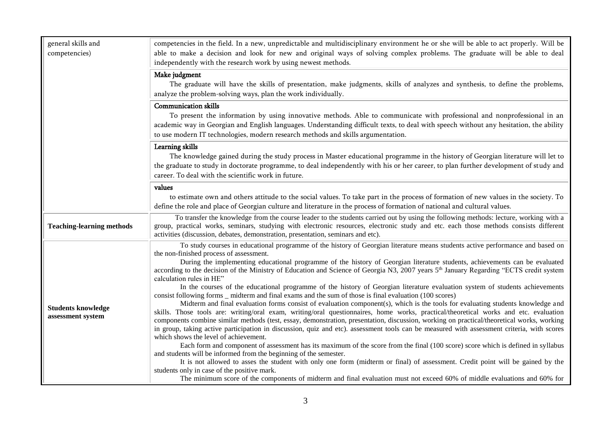| competencies in the field. In a new, unpredictable and multidisciplinary environment he or she will be able to act properly. Will be<br>general skills and<br>able to make a decision and look for new and original ways of solving complex problems. The graduate will be able to deal<br>competencies) |                                                                                                                                                                                                                                                                                                                                                                                                                                                                                                                                                                                                                                                                                                                                                                                                                                           |  |
|----------------------------------------------------------------------------------------------------------------------------------------------------------------------------------------------------------------------------------------------------------------------------------------------------------|-------------------------------------------------------------------------------------------------------------------------------------------------------------------------------------------------------------------------------------------------------------------------------------------------------------------------------------------------------------------------------------------------------------------------------------------------------------------------------------------------------------------------------------------------------------------------------------------------------------------------------------------------------------------------------------------------------------------------------------------------------------------------------------------------------------------------------------------|--|
|                                                                                                                                                                                                                                                                                                          | independently with the research work by using newest methods.                                                                                                                                                                                                                                                                                                                                                                                                                                                                                                                                                                                                                                                                                                                                                                             |  |
|                                                                                                                                                                                                                                                                                                          | Make judgment<br>The graduate will have the skills of presentation, make judgments, skills of analyzes and synthesis, to define the problems,                                                                                                                                                                                                                                                                                                                                                                                                                                                                                                                                                                                                                                                                                             |  |
|                                                                                                                                                                                                                                                                                                          | analyze the problem-solving ways, plan the work individually.                                                                                                                                                                                                                                                                                                                                                                                                                                                                                                                                                                                                                                                                                                                                                                             |  |
|                                                                                                                                                                                                                                                                                                          | <b>Communication skills</b><br>To present the information by using innovative methods. Able to communicate with professional and nonprofessional in an<br>academic way in Georgian and English languages. Understanding difficult texts, to deal with speech without any hesitation, the ability<br>to use modern IT technologies, modern research methods and skills argumentation.                                                                                                                                                                                                                                                                                                                                                                                                                                                      |  |
|                                                                                                                                                                                                                                                                                                          | Learning skills<br>The knowledge gained during the study process in Master educational programme in the history of Georgian literature will let to<br>the graduate to study in doctorate programme, to deal independently with his or her career, to plan further development of study and<br>career. To deal with the scientific work in future.                                                                                                                                                                                                                                                                                                                                                                                                                                                                                         |  |
|                                                                                                                                                                                                                                                                                                          | values                                                                                                                                                                                                                                                                                                                                                                                                                                                                                                                                                                                                                                                                                                                                                                                                                                    |  |
|                                                                                                                                                                                                                                                                                                          | to estimate own and others attitude to the social values. To take part in the process of formation of new values in the society. To<br>define the role and place of Georgian culture and literature in the process of formation of national and cultural values.                                                                                                                                                                                                                                                                                                                                                                                                                                                                                                                                                                          |  |
| <b>Teaching-learning methods</b>                                                                                                                                                                                                                                                                         | To transfer the knowledge from the course leader to the students carried out by using the following methods: lecture, working with a<br>group, practical works, seminars, studying with electronic resources, electronic study and etc. each those methods consists different<br>activities (discussion, debates, demonstration, presentation, seminars and etc).                                                                                                                                                                                                                                                                                                                                                                                                                                                                         |  |
|                                                                                                                                                                                                                                                                                                          | To study courses in educational programme of the history of Georgian literature means students active performance and based on<br>the non-finished process of assessment.<br>During the implementing educational programme of the history of Georgian literature students, achievements can be evaluated<br>according to the decision of the Ministry of Education and Science of Georgia N3, 2007 years 5 <sup>th</sup> January Regarding "ECTS credit system                                                                                                                                                                                                                                                                                                                                                                            |  |
| <b>Students knowledge</b><br>assessment system                                                                                                                                                                                                                                                           | calculation rules in HE"<br>In the courses of the educational programme of the history of Georgian literature evaluation system of students achievements<br>consist following forms _ midterm and final exams and the sum of those is final evaluation (100 scores)<br>Midterm and final evaluation forms consist of evaluation component(s), which is the tools for evaluating students knowledge and<br>skills. Those tools are: writing/oral exam, writing/oral questionnaires, home works, practical/theoretical works and etc. evaluation<br>components combine similar methods (test, essay, demonstration, presentation, discussion, working on practical/theoretical works, working<br>in group, taking active participation in discussion, quiz and etc). assessment tools can be measured with assessment criteria, with scores |  |
|                                                                                                                                                                                                                                                                                                          | which shows the level of achievement.<br>Each form and component of assessment has its maximum of the score from the final (100 score) score which is defined in syllabus<br>and students will be informed from the beginning of the semester.<br>It is not allowed to asses the student with only one form (midterm or final) of assessment. Credit point will be gained by the<br>students only in case of the positive mark.<br>The minimum score of the components of midterm and final evaluation must not exceed 60% of middle evaluations and 60% for                                                                                                                                                                                                                                                                              |  |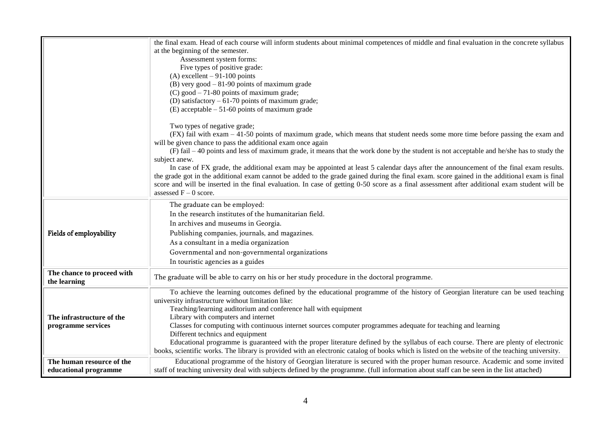|                            | the final exam. Head of each course will inform students about minimal competences of middle and final evaluation in the concrete syllabus                                                                                                                                               |
|----------------------------|------------------------------------------------------------------------------------------------------------------------------------------------------------------------------------------------------------------------------------------------------------------------------------------|
|                            | at the beginning of the semester.                                                                                                                                                                                                                                                        |
|                            | Assessment system forms:                                                                                                                                                                                                                                                                 |
|                            | Five types of positive grade:                                                                                                                                                                                                                                                            |
|                            | (A) excellent $-91-100$ points                                                                                                                                                                                                                                                           |
|                            | $(B)$ very good $-81-90$ points of maximum grade                                                                                                                                                                                                                                         |
|                            | $(C)$ good $-71-80$ points of maximum grade;                                                                                                                                                                                                                                             |
|                            | (D) satisfactory $-61-70$ points of maximum grade;                                                                                                                                                                                                                                       |
|                            | (E) acceptable $-51-60$ points of maximum grade                                                                                                                                                                                                                                          |
|                            | Two types of negative grade;                                                                                                                                                                                                                                                             |
|                            | (FX) fail with exam - 41-50 points of maximum grade, which means that student needs some more time before passing the exam and                                                                                                                                                           |
|                            | will be given chance to pass the additional exam once again                                                                                                                                                                                                                              |
|                            | (F) fail - 40 points and less of maximum grade, it means that the work done by the student is not acceptable and he/she has to study the                                                                                                                                                 |
|                            | subject anew.<br>In case of FX grade, the additional exam may be appointed at least 5 calendar days after the announcement of the final exam results.                                                                                                                                    |
|                            | the grade got in the additional exam cannot be added to the grade gained during the final exam. score gained in the additional exam is final                                                                                                                                             |
|                            | score and will be inserted in the final evaluation. In case of getting 0-50 score as a final assessment after additional exam student will be                                                                                                                                            |
|                            | assessed $F - 0$ score.                                                                                                                                                                                                                                                                  |
|                            | The graduate can be employed:                                                                                                                                                                                                                                                            |
|                            | In the research institutes of the humanitarian field.                                                                                                                                                                                                                                    |
|                            | In archives and museums in Georgia.                                                                                                                                                                                                                                                      |
| Fields of employability    | Publishing companies, journals, and magazines.                                                                                                                                                                                                                                           |
|                            | As a consultant in a media organization                                                                                                                                                                                                                                                  |
|                            | Governmental and non-governmental organizations                                                                                                                                                                                                                                          |
|                            | In touristic agencies as a guides                                                                                                                                                                                                                                                        |
| The chance to proceed with |                                                                                                                                                                                                                                                                                          |
| the learning               | The graduate will be able to carry on his or her study procedure in the doctoral programme.                                                                                                                                                                                              |
|                            | To achieve the learning outcomes defined by the educational programme of the history of Georgian literature can be used teaching                                                                                                                                                         |
|                            | university infrastructure without limitation like:                                                                                                                                                                                                                                       |
|                            | Teaching/learning auditorium and conference hall with equipment                                                                                                                                                                                                                          |
| The infrastructure of the  | Library with computers and internet                                                                                                                                                                                                                                                      |
| programme services         | Classes for computing with continuous internet sources computer programmes adequate for teaching and learning                                                                                                                                                                            |
|                            | Different technics and equipment                                                                                                                                                                                                                                                         |
|                            | Educational programme is guaranteed with the proper literature defined by the syllabus of each course. There are plenty of electronic<br>books, scientific works. The library is provided with an electronic catalog of books which is listed on the website of the teaching university. |
| The human resource of the  | Educational programme of the history of Georgian literature is secured with the proper human resource. Academic and some invited                                                                                                                                                         |
| educational programme      | staff of teaching university deal with subjects defined by the programme. (full information about staff can be seen in the list attached)                                                                                                                                                |
|                            |                                                                                                                                                                                                                                                                                          |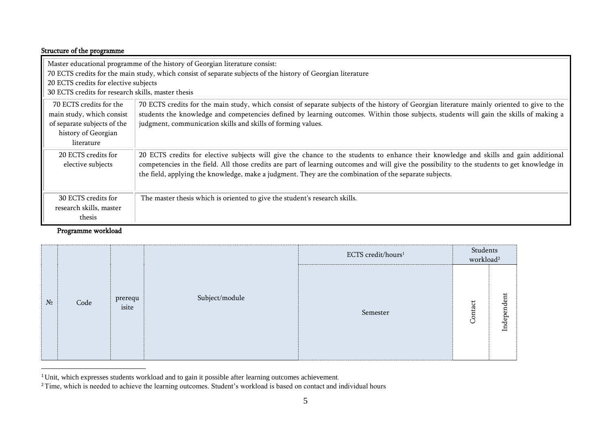### Structure of the programme

| Master educational programme of the history of Georgian literature consist:<br>70 ECTS credits for the main study, which consist of separate subjects of the history of Georgian literature |                                                                                                                                                                                                                                                                                                                                                                                                |  |  |  |
|---------------------------------------------------------------------------------------------------------------------------------------------------------------------------------------------|------------------------------------------------------------------------------------------------------------------------------------------------------------------------------------------------------------------------------------------------------------------------------------------------------------------------------------------------------------------------------------------------|--|--|--|
| 20 ECTS credits for elective subjects                                                                                                                                                       |                                                                                                                                                                                                                                                                                                                                                                                                |  |  |  |
| 30 ECTS credits for research skills, master thesis                                                                                                                                          |                                                                                                                                                                                                                                                                                                                                                                                                |  |  |  |
| 70 ECTS credits for the<br>main study, which consist<br>of separate subjects of the<br>history of Georgian<br>literature                                                                    | 70 ECTS credits for the main study, which consist of separate subjects of the history of Georgian literature mainly oriented to give to the<br>students the knowledge and competencies defined by learning outcomes. Within those subjects, students will gain the skills of making a<br>judgment, communication skills and skills of forming values.                                          |  |  |  |
| 20 ECTS credits for<br>elective subjects                                                                                                                                                    | 20 ECTS credits for elective subjects will give the chance to the students to enhance their knowledge and skills and gain additional<br>competencies in the field. All those credits are part of learning outcomes and will give the possibility to the students to get knowledge in<br>the field, applying the knowledge, make a judgment. They are the combination of the separate subjects. |  |  |  |
| 30 ECTS credits for<br>research skills, master<br>thesis                                                                                                                                    | The master thesis which is oriented to give the student's research skills.                                                                                                                                                                                                                                                                                                                     |  |  |  |

# Programme workload

 $\overline{a}$ 

|       |      |                  |                | ECTS credit/hours <sup>1</sup> | Students<br>workload <sup>2</sup> |             |
|-------|------|------------------|----------------|--------------------------------|-----------------------------------|-------------|
| $N_2$ | Code | prerequ<br>isite | Subject/module | Semester                       | Contact                           | Independent |

 $1$ Unit, which expresses students workload and to gain it possible after learning outcomes achievement.

<sup>&</sup>lt;sup>2</sup>Time, which is needed to achieve the learning outcomes. Student's workload is based on contact and individual hours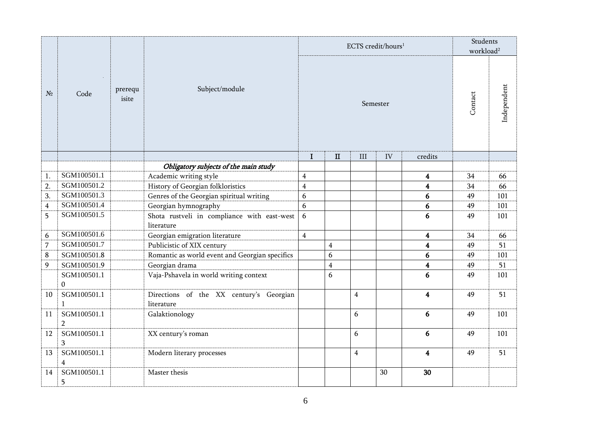|        |                                        |                  |                                                                     |                         |                | ECTS credit/hours <sup>1</sup> |          |                         | Students<br>workload <sup>2</sup> |             |
|--------|----------------------------------------|------------------|---------------------------------------------------------------------|-------------------------|----------------|--------------------------------|----------|-------------------------|-----------------------------------|-------------|
| $N_2$  | Code                                   | prerequ<br>isite | Subject/module                                                      |                         |                |                                | Semester |                         | Contact                           | Independent |
|        |                                        |                  |                                                                     | I                       | $\mathbf{I}$   | $\rm III$                      | IV       | credits                 |                                   |             |
|        |                                        |                  | Obligatory subjects of the main study                               |                         |                |                                |          |                         |                                   |             |
| 1.     | SGM100501.1                            |                  | Academic writing style                                              | $\overline{\mathbf{4}}$ |                |                                |          | $\overline{\mathbf{4}}$ | 34                                | 66          |
| 2.     | SGM100501.2                            |                  | History of Georgian folkloristics                                   | $\overline{4}$          |                |                                |          | $\overline{\mathbf{4}}$ | 34                                | 66          |
| 3.     | SGM100501.3<br>SGM100501.4             |                  | Genres of the Georgian spiritual writing                            | 6                       |                |                                |          | 6                       | 49                                | 101<br>101  |
| 4<br>5 | SGM100501.5                            |                  | Georgian hymnography<br>Shota rustveli in compliance with east-west | 6<br>6                  |                |                                |          | 6<br>6                  | 49<br>49                          | 101         |
|        |                                        |                  | literature                                                          |                         |                |                                |          |                         |                                   |             |
| 6      | SGM100501.6                            |                  | Georgian emigration literature                                      | $\overline{4}$          |                |                                |          | $\boldsymbol{4}$        | 34                                | 66          |
| 7      | SGM100501.7                            |                  | Publicistic of XIX century                                          |                         | $\overline{4}$ |                                |          | $\overline{\mathbf{4}}$ | 49                                | 51          |
| 8      | SGM100501.8                            |                  | Romantic as world event and Georgian specifics                      |                         | 6              |                                |          | 6                       | 49                                | 101         |
| 9      | SGM100501.9                            |                  | Georgian drama                                                      |                         | $\overline{4}$ |                                |          | $\overline{\mathbf{4}}$ | 49                                | 51          |
|        | SGM100501.1<br>$\Omega$                |                  | Vaja-Pshavela in world writing context                              |                         | 6              |                                |          | 6                       | 49                                | 101         |
| 10     | SGM100501.1<br>$\mathbf{1}$            |                  | Directions of the XX century's Georgian<br>literature               |                         |                | $\overline{4}$                 |          | $\overline{\mathbf{4}}$ | 49                                | 51          |
| 11     | SGM100501.1<br>$\overline{2}$          |                  | Galaktionology                                                      |                         |                | 6                              |          | 6                       | 49                                | 101         |
| 12     | SGM100501.1<br>3                       |                  | XX century's roman                                                  |                         |                | 6                              |          | 6                       | 49                                | 101         |
| 13     | SGM100501.1<br>$\overline{\mathbf{4}}$ |                  | Modern literary processes                                           |                         |                | $\overline{4}$                 |          | $\overline{\mathbf{4}}$ | 49                                | 51          |
| 14     | SGM100501.1<br>5                       |                  | Master thesis                                                       |                         |                |                                | 30       | 30                      |                                   |             |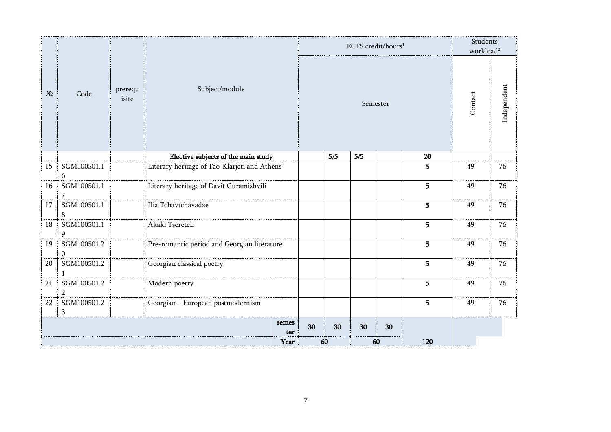|       |                                 |                  |                                              |       |    |     |     | ECTS credit/hours <sup>1</sup> |     | Students<br>workload <sup>2</sup> |             |
|-------|---------------------------------|------------------|----------------------------------------------|-------|----|-----|-----|--------------------------------|-----|-----------------------------------|-------------|
| $N_2$ | Code                            | prerequ<br>isite | Subject/module                               |       |    |     |     | Semester                       |     | Contact                           | Independent |
|       |                                 |                  | Elective subjects of the main study          |       |    | 5/5 | 5/5 |                                | 20  |                                   |             |
| 15    | SGM100501.1<br>6                |                  | Literary heritage of Tao-Klarjeti and Athens |       |    |     |     |                                | 5   | 49                                | 76          |
| 16    | SGM100501.1<br>7                |                  | Literary heritage of Davit Guramishvili      |       |    |     |     |                                | 5   | 49                                | 76          |
| 17    | SGM100501.1<br>$\bf 8$          |                  | Ilia Tchavtchavadze                          |       |    |     |     |                                | 5   | 49                                | 76          |
| 18    | SGM100501.1<br>$\boldsymbol{9}$ |                  | Akaki Tsereteli                              |       |    |     |     |                                | 5   | 49                                | 76          |
| 19    | SGM100501.2<br>$\mathbf{0}$     |                  | Pre-romantic period and Georgian literature  |       |    |     |     |                                | 5   | 49                                | 76          |
| 20    | SGM100501.2<br>1                |                  | Georgian classical poetry                    |       |    |     |     |                                | 5   | 49                                | 76          |
| 21    | SGM100501.2<br>$\overline{2}$   |                  | Modern poetry                                |       |    |     |     |                                | 5   | 49                                | 76          |
| 22    | SGM100501.2<br>$\mathbf{3}$     |                  | Georgian - European postmodernism            |       |    |     |     |                                | 5   | 49                                | 76          |
|       |                                 |                  |                                              | semes | 30 | 30  | 30  | 30                             |     |                                   |             |
|       |                                 |                  |                                              | ter   |    |     |     |                                |     |                                   |             |
|       |                                 |                  |                                              | Year  |    | 60  |     | 60                             | 120 |                                   |             |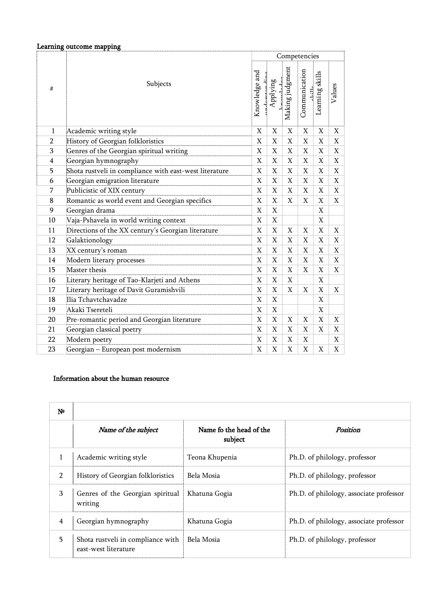|                | Learning outcome mapping                               |                |                                |                           |                          |                 |             |
|----------------|--------------------------------------------------------|----------------|--------------------------------|---------------------------|--------------------------|-----------------|-------------|
|                |                                                        |                |                                |                           | Competencies             |                 |             |
| #              | Subjects                                               |                | $I_{\rm maxladna}$<br>Applying | Making judgment           | Communication<br>عللنداء | Learning skills | Values      |
| $\mathbf{1}$   | Academic writing style                                 | $\mathbf X$    | X                              | X                         | X                        | X               | X           |
| $\overline{2}$ | History of Georgian folkloristics                      | $\mathbf X$    | $\mathbf X$                    | $\mathbf X$               | X                        | X               | X           |
| 3              | Genres of the Georgian spiritual writing               | $\mathbf X$    | X                              | X                         | X                        | X               | X           |
| $\overline{4}$ | Georgian hymnography                                   | $\mathbf X$    | $\boldsymbol{\mathrm{X}}$      | $\boldsymbol{\mathrm{X}}$ | $\mathbf X$              | X               | $\mathbf X$ |
| 5              | Shota rustveli in compliance with east-west literature | X              | $\mathbf X$                    | $\mathbf X$               | X                        | X               | X           |
| 6              | Georgian emigration literature                         | X              | Χ                              | X                         | X                        | X               | X           |
| 7              | Publicistic of XIX century                             | $\mathbf X$    | $\mathbf X$                    | X                         | $\mathbf X$              | X               | X           |
| 8              | Romantic as world event and Georgian specifics         | $\mathbf X$    | X                              | $\mathbf X$               | X                        | X               | X           |
| 9              | Georgian drama                                         | X              | X                              |                           |                          | X               |             |
| 10             | Vaja-Pshavela in world writing context                 | $\mathbf X$    | $\mathbf X$                    |                           |                          | X               |             |
| 11             | Directions of the XX century's Georgian literature     | $\mathbf X$    | X                              | X                         | X                        | X               | X           |
| 12             | Galaktionology                                         | $\mathbf X$    | X                              | X                         | X                        | X               | X           |
| 13             | XX century's roman                                     | $\overline{X}$ | $\mathbf X$                    | $\mathbf X$               | $\mathbf X$              | X               | X           |
| 14             | Modern literary processes                              | $\mathbf X$    | X                              | $\mathbf X$               | $\mathbf X$              | X               | X           |
| 15             | Master thesis                                          | $\mathbf X$    | X                              | X                         | X                        | X               | X           |
| 16             | Literary heritage of Tao-Klarjeti and Athens           | X              | X                              | X                         |                          | $\mathbf{X}$    |             |
| 17             | Literary heritage of Davit Guramishvili                | $\mathbf X$    | X                              | $\mathbf X$               | X                        | X               | X           |
| 18             | Ilia Tchavtchavadze                                    | $\mathbf X$    | $\mathbf X$                    |                           |                          | X               |             |
| 19             | Akaki Tsereteli                                        | $\mathbf X$    | X                              |                           |                          | X               |             |
| 20             | Pre-romantic period and Georgian literature            | $\mathbf X$    | X                              | X                         | X                        | X               | X           |
| 21             | Georgian classical poetry                              | $\mathbf X$    | $\mathbf X$                    | $\mathbf X$               | X                        | X               | X           |
| 22             | Modern poetry                                          | $\mathbf X$    | X                              | X                         | X                        |                 | X           |
| 23             | Georgian - European post modernism                     | $\mathbf X$    | $\mathbf X$                    | $\mathbf X$               | X                        | X               | X           |

#### Information about the human resource

| N <sup>o</sup> |                                                           |                                    |                                         |
|----------------|-----------------------------------------------------------|------------------------------------|-----------------------------------------|
|                | Name of the subject                                       | Name fo the head of the<br>subject | Position                                |
| $\mathbf{1}$   | Academic writing style                                    | Teona Khupenia                     | Ph.D. of philology, professor           |
| $\overline{2}$ | History of Georgian folkloristics                         | Bela Mosia                         | Ph.D. of philology, professor           |
| 3              | Genres of the Georgian spiritual<br>writing               | Khatuna Gogia                      | Ph.D. of philology, associate professor |
| 4              | Georgian hymnography                                      | Khatuna Gogia                      | Ph.D. of philology, associate professor |
| 5.             | Shota rustveli in compliance with<br>east-west literature | Bela Mosia                         | Ph.D. of philology, professor           |